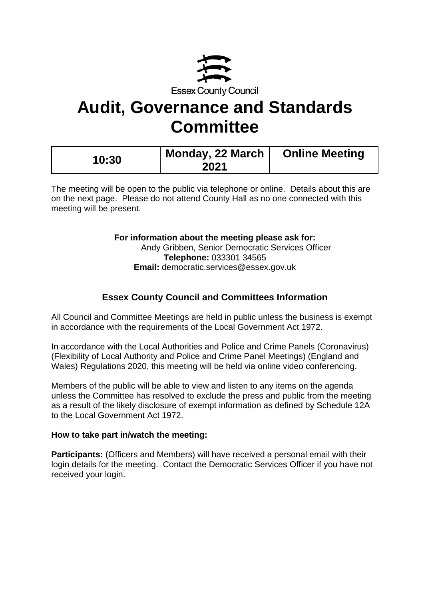

# **Audit, Governance and Standards Committee**

| 10:30 | Monday, 22 March | <b>Online Meeting</b> |
|-------|------------------|-----------------------|
|       | 2021             |                       |

The meeting will be open to the public via telephone or online. Details about this are on the next page. Please do not attend County Hall as no one connected with this meeting will be present.

# **For information about the meeting please ask for:**

Andy Gribben, Senior Democratic Services Officer **Telephone:** 033301 34565 **Email:** democratic.services@essex.gov.uk

# **Essex County Council and Committees Information**

All Council and Committee Meetings are held in public unless the business is exempt in accordance with the requirements of the Local Government Act 1972.

In accordance with the Local Authorities and Police and Crime Panels (Coronavirus) (Flexibility of Local Authority and Police and Crime Panel Meetings) (England and Wales) Regulations 2020, this meeting will be held via online video conferencing.

Members of the public will be able to view and listen to any items on the agenda unless the Committee has resolved to exclude the press and public from the meeting as a result of the likely disclosure of exempt information as defined by Schedule 12A to the Local Government Act 1972.

# **How to take part in/watch the meeting:**

**Participants: (Officers and Members) will have received a personal email with their** login details for the meeting. Contact the Democratic Services Officer if you have not received your login.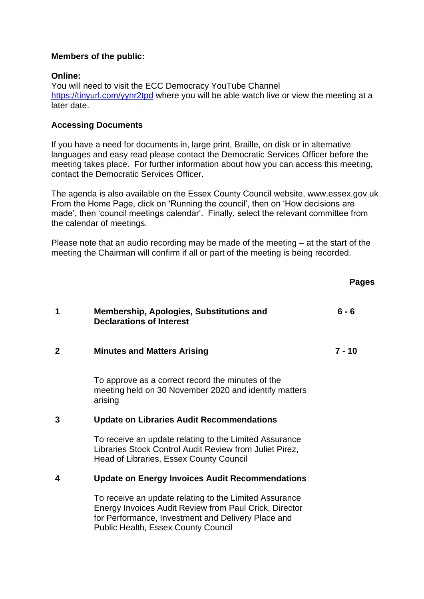# **Members of the public:**

#### **Online:**

You will need to visit the ECC Democracy YouTube Channel [https://tinyurl.com/yynr2tpd](https://eur02.safelinks.protection.outlook.com/?url=https%3A%2F%2Ftinyurl.com%2Fyynr2tpd&data=04%7C01%7C%7Cc55f8d5601554531618208d88628be05%7Ca8b4324f155c4215a0f17ed8cc9a992f%7C0%7C0%7C637406856826545157%7CUnknown%7CTWFpbGZsb3d8eyJWIjoiMC4wLjAwMDAiLCJQIjoiV2luMzIiLCJBTiI6Ik1haWwiLCJXVCI6Mn0%3D%7C1000&sdata=5uWgsBFTsrNPV7Hiwv%2FeGLT5RiUF9dERRHLE0CySAoY%3D&reserved=0) where you will be able watch live or view the meeting at a later date.

# **Accessing Documents**

If you have a need for documents in, large print, Braille, on disk or in alternative languages and easy read please contact the Democratic Services Officer before the meeting takes place. For further information about how you can access this meeting, contact the Democratic Services Officer.

The agenda is also available on the Essex County Council website, www.essex.gov.uk From the Home Page, click on 'Running the council', then on 'How decisions are made', then 'council meetings calendar'. Finally, select the relevant committee from the calendar of meetings.

Please note that an audio recording may be made of the meeting – at the start of the meeting the Chairman will confirm if all or part of the meeting is being recorded.

|              |                                                                                                                                                                        | <b>Pages</b> |
|--------------|------------------------------------------------------------------------------------------------------------------------------------------------------------------------|--------------|
| 1            | Membership, Apologies, Substitutions and<br><b>Declarations of Interest</b>                                                                                            | $6 - 6$      |
| $\mathbf{2}$ | <b>Minutes and Matters Arising</b>                                                                                                                                     | $7 - 10$     |
|              | To approve as a correct record the minutes of the<br>meeting held on 30 November 2020 and identify matters<br>arising                                                  |              |
| 3            | <b>Update on Libraries Audit Recommendations</b>                                                                                                                       |              |
|              | To receive an update relating to the Limited Assurance<br>Libraries Stock Control Audit Review from Juliet Pirez,<br><b>Head of Libraries, Essex County Council</b>    |              |
| 4            | <b>Update on Energy Invoices Audit Recommendations</b>                                                                                                                 |              |
|              | To receive an update relating to the Limited Assurance<br>Energy Invoices Audit Review from Paul Crick, Director<br>for Performance, Investment and Delivery Place and |              |

Public Health, Essex County Council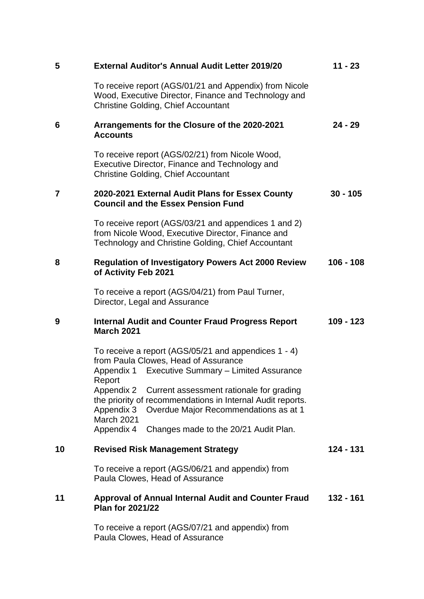| 5              | <b>External Auditor's Annual Audit Letter 2019/20</b>                                                                                                                                     | $11 - 23$   |
|----------------|-------------------------------------------------------------------------------------------------------------------------------------------------------------------------------------------|-------------|
|                | To receive report (AGS/01/21 and Appendix) from Nicole<br>Wood, Executive Director, Finance and Technology and<br><b>Christine Golding, Chief Accountant</b>                              |             |
| 6              | Arrangements for the Closure of the 2020-2021<br><b>Accounts</b>                                                                                                                          | $24 - 29$   |
|                | To receive report (AGS/02/21) from Nicole Wood,<br>Executive Director, Finance and Technology and<br><b>Christine Golding, Chief Accountant</b>                                           |             |
| $\overline{7}$ | 2020-2021 External Audit Plans for Essex County<br><b>Council and the Essex Pension Fund</b>                                                                                              | $30 - 105$  |
|                | To receive report (AGS/03/21 and appendices 1 and 2)<br>from Nicole Wood, Executive Director, Finance and<br>Technology and Christine Golding, Chief Accountant                           |             |
| 8              | <b>Regulation of Investigatory Powers Act 2000 Review</b><br>of Activity Feb 2021                                                                                                         | $106 - 108$ |
|                | To receive a report (AGS/04/21) from Paul Turner,<br>Director, Legal and Assurance                                                                                                        |             |
| 9              | <b>Internal Audit and Counter Fraud Progress Report</b><br><b>March 2021</b>                                                                                                              | $109 - 123$ |
|                | To receive a report (AGS/05/21 and appendices 1 - 4)<br>from Paula Clowes, Head of Assurance<br>Appendix 1 Executive Summary - Limited Assurance<br>Report                                |             |
|                | Current assessment rationale for grading<br>Appendix 2<br>the priority of recommendations in Internal Audit reports.<br>Appendix 3<br>Overdue Major Recommendations as at 1<br>March 2021 |             |
|                | Appendix 4<br>Changes made to the 20/21 Audit Plan.                                                                                                                                       |             |
| 10             | <b>Revised Risk Management Strategy</b>                                                                                                                                                   | 124 - 131   |
|                | To receive a report (AGS/06/21 and appendix) from<br>Paula Clowes, Head of Assurance                                                                                                      |             |
| 11             | <b>Approval of Annual Internal Audit and Counter Fraud</b><br><b>Plan for 2021/22</b>                                                                                                     | 132 - 161   |
|                | To receive a report (AGS/07/21 and appendix) from<br>Paula Clowes, Head of Assurance                                                                                                      |             |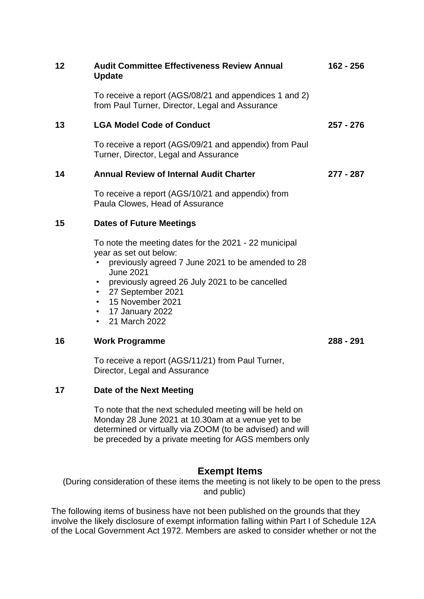| 12 | <b>Audit Committee Effectiveness Review Annual</b><br><b>Update</b>                                                                                      | 162 - 256 |
|----|----------------------------------------------------------------------------------------------------------------------------------------------------------|-----------|
|    | To receive a report (AGS/08/21 and appendices 1 and 2)<br>from Paul Turner, Director, Legal and Assurance                                                |           |
| 13 | <b>LGA Model Code of Conduct</b>                                                                                                                         | 257 - 276 |
|    | To receive a report (AGS/09/21 and appendix) from Paul<br>Turner, Director, Legal and Assurance                                                          |           |
| 14 | <b>Annual Review of Internal Audit Charter</b>                                                                                                           | 277 - 287 |
|    | To receive a report (AGS/10/21 and appendix) from<br>Paula Clowes, Head of Assurance                                                                     |           |
| 15 | <b>Dates of Future Meetings</b>                                                                                                                          |           |
|    | To note the meeting dates for the 2021 - 22 municipal<br>year as set out below:<br>previously agreed 7 June 2021 to be amended to 28<br><b>June 2021</b> |           |
|    | previously agreed 26 July 2021 to be cancelled                                                                                                           |           |

- 27 September 2021
- 15 November 2021
- 17 January 2022
- 21 March 2022

#### **16 Work Programme**

**288 - 291**

To receive a report (AGS/11/21) from Paul Turner, Director, Legal and Assurance

# **17 Date of the Next Meeting**

To note that the next scheduled meeting will be held on Monday 28 June 2021 at 10.30am at a venue yet to be determined or virtually via ZOOM (to be advised) and will be preceded by a private meeting for AGS members only

# **Exempt Items**

(During consideration of these items the meeting is not likely to be open to the press and public)

The following items of business have not been published on the grounds that they involve the likely disclosure of exempt information falling within Part I of Schedule 12A of the Local Government Act 1972. Members are asked to consider whether or not the